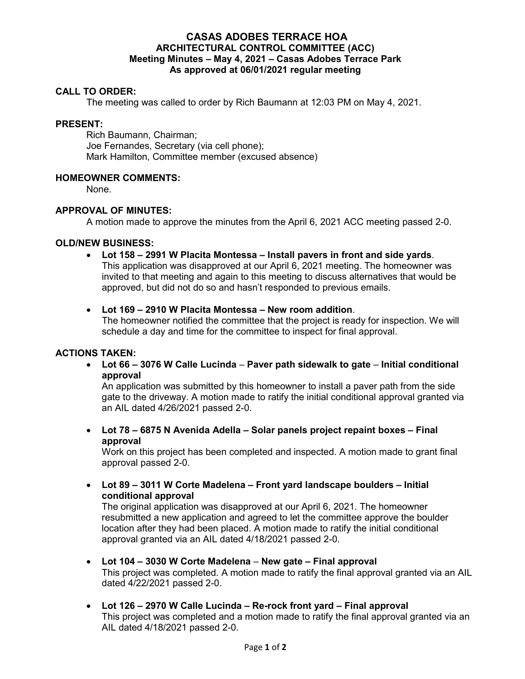# **CASAS ADOBES TERRACE HOA ARCHITECTURAL CONTROL COMMITTEE (ACC) Meeting Minutes – May 4, 2021 – Casas Adobes Terrace Park As approved at 06/01/2021 regular meeting**

## **CALL TO ORDER:**

The meeting was called to order by Rich Baumann at 12:03 PM on May 4, 2021.

### **PRESENT:**

Rich Baumann, Chairman; Joe Fernandes, Secretary (via cell phone); Mark Hamilton, Committee member (excused absence)

## **HOMEOWNER COMMENTS:**

None.

## **APPROVAL OF MINUTES:**

A motion made to approve the minutes from the April 6, 2021 ACC meeting passed 2-0.

### **OLD/NEW BUSINESS:**

 **Lot 158 – 2991 W Placita Montessa – Install pavers in front and side yards**. This application was disapproved at our April 6, 2021 meeting. The homeowner was invited to that meeting and again to this meeting to discuss alternatives that would be approved, but did not do so and hasn't responded to previous emails.

### **Lot 169 – 2910 W Placita Montessa – New room addition**.

The homeowner notified the committee that the project is ready for inspection. We will schedule a day and time for the committee to inspect for final approval.

### **ACTIONS TAKEN:**

 **Lot 66 – 3076 W Calle Lucinda** – **Paver path sidewalk to gate** – **Initial conditional approval** 

An application was submitted by this homeowner to install a paver path from the side gate to the driveway. A motion made to ratify the initial conditional approval granted via an AIL dated 4/26/2021 passed 2-0.

 **Lot 78 – 6875 N Avenida Adella – Solar panels project repaint boxes – Final approval** 

Work on this project has been completed and inspected. A motion made to grant final approval passed 2-0.

 **Lot 89 – 3011 W Corte Madelena – Front yard landscape boulders – Initial conditional approval** 

The original application was disapproved at our April 6, 2021. The homeowner resubmitted a new application and agreed to let the committee approve the boulder location after they had been placed. A motion made to ratify the initial conditional approval granted via an AIL dated 4/18/2021 passed 2-0.

- **Lot 104 3030 W Corte Madelena New gate Final approval**  This project was completed. A motion made to ratify the final approval granted via an AIL dated 4/22/2021 passed 2-0.
- **Lot 126 2970 W Calle Lucinda Re-rock front yard Final approval**  This project was completed and a motion made to ratify the final approval granted via an AIL dated 4/18/2021 passed 2-0.